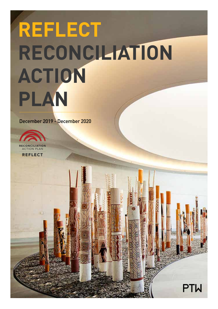### **REFLECT RECONCILIATION ACTION PLAN**

**PTW** 

December 2019 - December 2020



**ACTION PLAN REFLECT**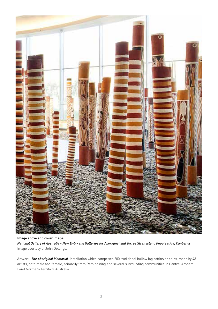

Image above and cover image: *National Gallery of Australia - New Entry and Galleries for Aboriginal and Torres Strait Island People's Art, Canberra* Image courtesy of John Gollings.

Artwork: *The Aboriginal Memorial*, installation which comprises 200 traditional hollow log coffins or poles, made by 43 artists, both male and female, primarily from Ramingining and several surrounding communities in Central Arnhem Land Northern Territory, Australia.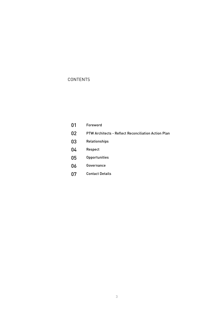#### **CONTENTS**

| 01 | Foreword                                                   |
|----|------------------------------------------------------------|
| 02 | <b>PTW Architects - Reflect Reconciliation Action Plan</b> |
| 03 | Relationships                                              |
| 04 | Respect                                                    |
| 05 | <b>Opportunities</b>                                       |
| 06 | Governance                                                 |
| 07 | <b>Contact Details</b>                                     |
|    |                                                            |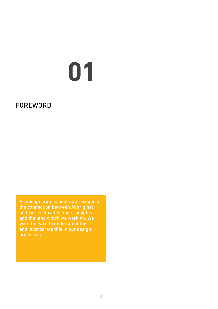### FOREWORD

As design professionals we recognise the connection between Aboriginal and Torres Strait Islander peoples and the land which we work on. We want to learn to understand this and incorporate this in our design processes.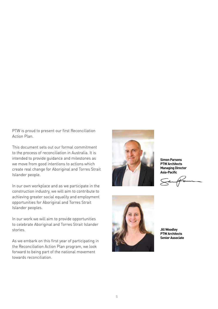PTW is proud to present our first Reconciliation Action Plan.

This document sets out our formal commitment to the process of reconciliation in Australia. It is intended to provide guidance and milestones as we move from good intentions to actions which create real change for Aboriginal and Torres Strait Islander people.

In our own workplace and as we participate in the construction industry, we will aim to contribute to achieving greater social equality and employment opportunities for Aboriginal and Torres Strait Islander peoples.

In our work we will aim to provide opportunities to celebrate Aboriginal and Torres Strait Islander stories.

As we embark on this first year of participating in the Reconciliation Action Plan program, we look forward to being part of the national movement towards reconciliation.



**Simon Parsons PTW Architects Managing Director Asia-Pacific**



**Jill Woodley PTW Architects Senior Associate**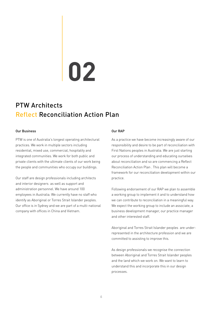### PTW Architects Reflect Reconciliation Action Plan

#### Our Business

PTW is one of Australia's longest operating architectural practices. We work in multiple sectors including residential, mixed use, commercial, hospitality and integrated communities. We work for both public and private clients with the ultimate clients of our work being the people and communities who occupy our buildings.

Our staff are design professionals including architects and interior designers as well as support and administration personnel. We have around 100 employees in Australia. We currently have no staff who identify as Aboriginal or Torres Strait Islander peoples. Our office is in Sydney and we are part of a multi-national company with offices in China and Vietnam.

#### Our RAP

As a practice we have become increasingly aware of our responsibility and desire to be part of reconciliation with First Nations peoples in Australia. We are just starting our process of understanding and educating ourselves about reconciliation and so are commencing a Reflect Reconciliation Action Plan . This plan will become a framework for our reconciliation development within our practice.

Following endorsement of our RAP we plan to assemble a working group to implement it and to understand how we can contribute to reconciliation in a meaningful way. We expect the working group to include an associate, a business development manager, our practice manager and other interested staff.

Aboriginal and Torres Strait Islander peoples are underrepresented in the architecture profession and we are committed to assisting to improve this.

As design professionals we recognise the connection between Aboriginal and Torres Strait Islander peoples and the land which we work on. We want to learn to understand this and incorporate this in our design processes.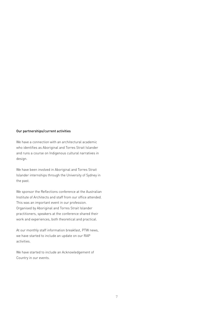#### Our partnerships/current activities

We have a connection with an architectural academic who identifies as Aboriginal and Torres Strait Islander and runs a course on Indigenous cultural narratives in design.

We have been involved in Aboriginal and Torres Strait Islander internships through the University of Sydney in the past.

We sponsor the Reflections conference at the Australian Institute of Architects and staff from our office attended. This was an important event in our profession. Organised by Aboriginal and Torres Strait Islander practitioners, speakers at the conference shared their work and experiences, both theoretical and practical.

At our monthly staff information breakfast, PTW news, we have started to include an update on our RAP activities.

We have started to include an Acknowledgement of Country in our events.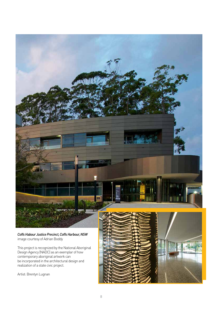

*Coffs Habour Justice Precinct, Coffs Harbour, NSW* image courtesy of Adrian Boddy

This project is recognized by the National Aboriginal Design Agency (NADC) as an exemplar of how contemporary aboriginal artwork can be incorporated in the architectural design and realization of a state civic project.

Artist: Brentyn Lugnan

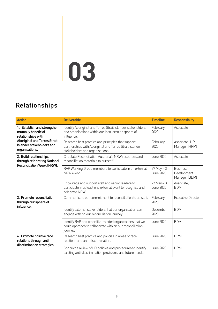### Relationships

| <b>Action</b>                                                                               | <b>Deliverable</b>                                                                                                                               | <b>Timeline</b>            | <b>Responsiblity</b>                            |
|---------------------------------------------------------------------------------------------|--------------------------------------------------------------------------------------------------------------------------------------------------|----------------------------|-------------------------------------------------|
| 1. Establish and strengthen<br>mutually beneficial<br>relationships with                    | Identify Aboriginal and Torres Strait Islander stakeholders<br>and organisations within our local area or sphere of<br>influence.                | February<br>2020           | Associate                                       |
| <b>Aboriginal and Torres Strait</b><br>Islander stakeholders and<br>organisations.          | Research best practice and principles that support<br>partnerships with Aboriginal and Torres Strait Islander<br>stakeholders and organisations. | February<br>2020           | Associate, HR<br>Manager (HRM)                  |
| 2. Build relationships<br>through celebrating National<br><b>Reconciliation Week (NRW).</b> | Circulate Reconciliation Australia's NRW resources and<br>reconciliation materials to our staff.                                                 | <b>June 2020</b>           | Associate                                       |
|                                                                                             | RAP Working Group members to participate in an external<br>NRW event.                                                                            | $27$ May $-3$<br>June 2020 | <b>Business</b><br>Development<br>Manager (BDM) |
|                                                                                             | Encourage and support staff and senior leaders to<br>participate in at least one external event to recognise and<br>celebrate NRW.               | $27$ May $-3$<br>June 2020 | Associate.<br><b>BDM</b>                        |
| 3. Promote reconciliation<br>through our sphere of<br>influence.                            | Communicate our commitment to reconciliation to all staff.                                                                                       | February<br>2020           | <b>Executive Director</b>                       |
|                                                                                             | Identify external stakeholders that our organisation can<br>engage with on our reconciliation journey.                                           | December<br>2020           | <b>BDM</b>                                      |
|                                                                                             | Identify RAP and other like-minded organisations that we<br>could approach to collaborate with on our reconciliation<br>journey.                 | June 2020                  | <b>BDM</b>                                      |
| 4. Promote positive race<br>relations through anti-                                         | Research best practice and policies in areas of race<br>relations and anti-discrimination.                                                       | June 2020                  | <b>HRM</b>                                      |
| discrimination strategies.                                                                  | Conduct a review of HR policies and procedures to identify<br>existing anti-discrimination provisions, and future needs.                         | June 2020                  | <b>HRM</b>                                      |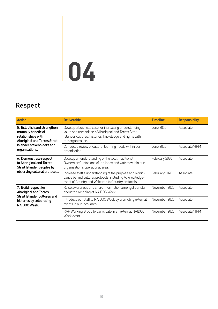### Respect

| <b>Action</b>                                                                                                   | <b>Deliverable</b>                                                                                                                                                                               | <b>Timeline</b> | <b>Responsiblity</b> |
|-----------------------------------------------------------------------------------------------------------------|--------------------------------------------------------------------------------------------------------------------------------------------------------------------------------------------------|-----------------|----------------------|
| 5. Establish and strengthen<br>mutually beneficial<br>relationships with<br><b>Aboriginal and Torres Strait</b> | Develop a business case for increasing understanding,<br>value and recognition of Aboriginal and Torres Strait<br>Islander cultures, histories, knowledge and rights within<br>our organisation. | June 2020       | Associate            |
| Islander stakeholders and<br>organisations.                                                                     | Conduct a review of cultural learning needs within our<br>organisation.                                                                                                                          | June 2020       | Associate/HRM        |
| 6. Demonstrate respect<br>to Aboriginal and Torres<br>Strait Islander peoples by                                | Develop an understanding of the local Traditional<br>Owners or Custodians of the lands and waters within our<br>organisation's operational area.                                                 | February 2020   | Associate            |
| observing cultural protocols.                                                                                   | Increase staff's understanding of the purpose and signifi-<br>cance behind cultural protocols, including Acknowledge-<br>ment of Country and Welcome to Country protocols.                       | February 2020   | Associate            |
| 7. Build respect for<br><b>Aboriginal and Torres</b><br>Strait Islander cultures and                            | Raise awareness and share information amongst our staff<br>about the meaning of NAIDOC Week.                                                                                                     | November 2020   | Associate            |
| histories by celebrating<br>NAIDOC Week.                                                                        | Introduce our staff to NAIDOC Week by promoting external<br>events in our local area.                                                                                                            | November 2020   | Associate            |
|                                                                                                                 | RAP Working Group to participate in an external NAIDOC<br>Week event.                                                                                                                            | November 2020   | Associate/HRM        |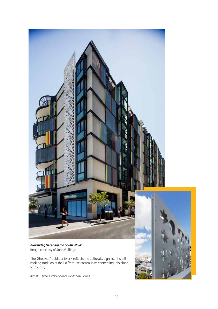

*Alexander, Baranagaroo South, NSW*  image courtesy of John Gollings

The 'Shellwall' public artwork reflects the culturally significant shell making tradition of the La Perouse community, connecting this place to Country.

Artist: Esme Timbery and Jonathan Jones

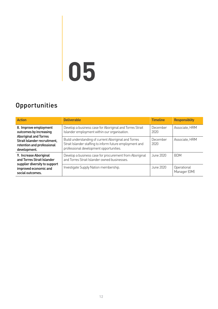### Opportunities

| <b>Action</b>                                                                         | <b>Deliverable</b>                                                                                                                                          | <b>Timeline</b>  | <b>Responsiblity</b>        |
|---------------------------------------------------------------------------------------|-------------------------------------------------------------------------------------------------------------------------------------------------------------|------------------|-----------------------------|
| 8. Improve employment<br>outcomes by increasing<br><b>Aboriginal and Torres</b>       | Develop a business case for Aboriginal and Torres Strait<br>Islander employment within our organisation.                                                    | December<br>2020 | Associate, HRM              |
| Strait Islander recruitment,<br>retention and professional<br>development.            | Build understanding of current Aboriginal and Torres<br>Strait Islander staffing to inform future employment and<br>professional development opportunities. | December<br>2020 | Associate, HRM              |
| 9. Increase Aboriginal<br>and Torres Strait Islander<br>supplier diversity to support | Develop a business case for procurement from Aboriginal<br>and Torres Strait Islander owned businesses.                                                     | June 2020        | <b>BDM</b>                  |
| improved economic and<br>social outcomes.                                             | Investigate Supply Nation membership.                                                                                                                       | June 2020        | Operational<br>Manager (OM) |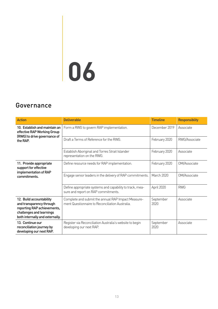### Governance

| <b>Action</b>                                                                                                                                      | <b>Deliverable</b>                                                                                    | <b>Timeline</b>   | <b>Responsiblity</b> |
|----------------------------------------------------------------------------------------------------------------------------------------------------|-------------------------------------------------------------------------------------------------------|-------------------|----------------------|
| 10. Establish and maintain an<br>effective RAP Working Group<br>(RWG) to drive governance of                                                       | Form a RWG to govern RAP implementation.                                                              | December 2019     | Associate            |
| the RAP.                                                                                                                                           | Draft a Terms of Reference for the RWG.                                                               | February 2020     | RWG/Associate        |
|                                                                                                                                                    | Establish Aboriginal and Torres Strait Islander<br>representation on the RWG.                         | February 2020     | Associate            |
| 11. Provide appropriate<br>support for effective<br>implementation of RAP                                                                          | Define resource needs for RAP implementation.                                                         | February 2020     | OM/Associate         |
| commitments.                                                                                                                                       | Engage senior leaders in the delivery of RAP commitments.                                             | March 2020        | OM/Associate         |
|                                                                                                                                                    | Define appropriate systems and capability to track, mea-<br>sure and report on RAP commitments.       | April 2020        | <b>RWG</b>           |
| 12. Build accountability<br>and transparency through<br>reporting RAP achievements,<br>challenges and learnings<br>both internally and externally. | Complete and submit the annual RAP Impact Measure-<br>ment Questionnaire to Reconciliation Australia. | September<br>2020 | Associate            |
| 13. Continue our<br>reconciliation journey by<br>developing our next RAP.                                                                          | Register via Reconciliation Australia's website to begin<br>developing our next RAP.                  | September<br>2020 | Associate            |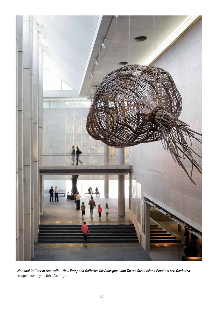

*National Gallery of Australia - New Entry and Galleries for Aboriginal and Torres Strait Island People's Art, Canberra* Image courtesy of John Gollings.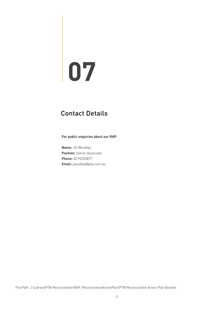### Contact Details

For public enquiries about our RAP:

Name: Jill Woodley Position: Senior Associate Phone: 02 92325877 Email: jwoodley@ptw.com.au

File Path: J:\Library\PTW Reconciliation\RAP\_ReconciliationActionPlan\PTW Reconciliation Action Plan Booklet